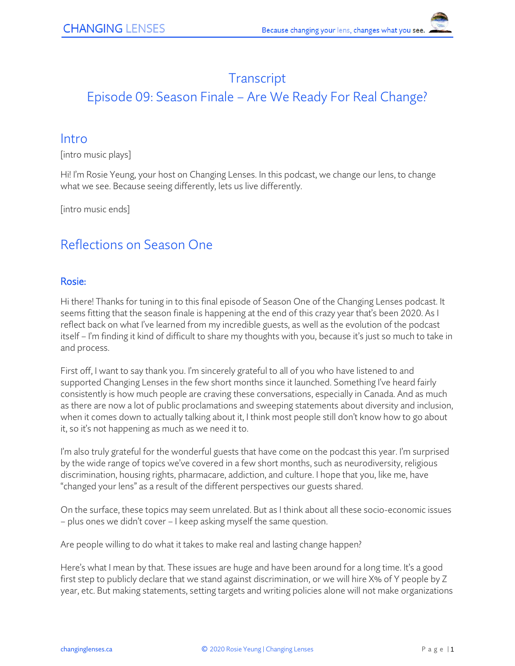# **Transcript**

# Episode 09: Season Finale – Are We Ready For Real Change?

### **Intro**

[intro music plays]

Hi! I'm Rosie Yeung, your host on Changing Lenses. In this podcast, we change our lens, to change what we see. Because seeing differently, lets us live differently.

[intro music ends]

## Reflections on Season One

#### Rosie:

Hi there! Thanks for tuning in to this final episode of Season One of the Changing Lenses podcast. It seems fitting that the season finale is happening at the end of this crazy year that's been 2020. As I reflect back on what I've learned from my incredible guests, as well as the evolution of the podcast itself – I'm finding it kind of difficult to share my thoughts with you, because it's just so much to take in and process.

First off, I want to say thank you. I'm sincerely grateful to all of you who have listened to and supported Changing Lenses in the few short months since it launched. Something I've heard fairly consistently is how much people are craving these conversations, especially in Canada. And as much as there are now a lot of public proclamations and sweeping statements about diversity and inclusion, when it comes down to actually talking about it, I think most people still don't know how to go about it, so it's not happening as much as we need it to.

I'm also truly grateful for the wonderful guests that have come on the podcast this year. I'm surprised by the wide range of topics we've covered in a few short months, such as neurodiversity, religious discrimination, housing rights, pharmacare, addiction, and culture. I hope that you, like me, have "changed your lens" as a result of the different perspectives our guests shared.

On the surface, these topics may seem unrelated. But as I think about all these socio-economic issues – plus ones we didn't cover – I keep asking myself the same question.

Are people willing to do what it takes to make real and lasting change happen?

Here's what I mean by that. These issues are huge and have been around for a long time. It's a good first step to publicly declare that we stand against discrimination, or we will hire X% of Y people by Z year, etc. But making statements, setting targets and writing policies alone will not make organizations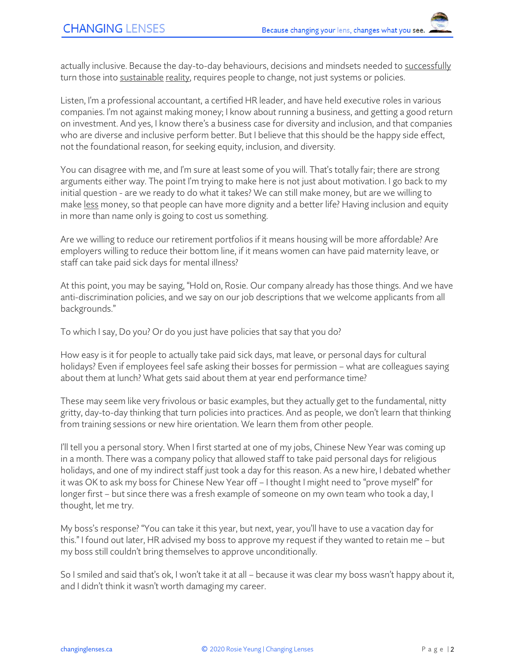actually inclusive. Because the day-to-day behaviours, decisions and mindsets needed to successfully turn those into sustainable reality, requires people to change, not just systems or policies.

Listen, I'm a professional accountant, a certified HR leader, and have held executive roles in various companies. I'm not against making money; I know about running a business, and getting a good return on investment. And yes, I know there's a business case for diversity and inclusion, and that companies who are diverse and inclusive perform better. But I believe that this should be the happy side effect, not the foundational reason, for seeking equity, inclusion, and diversity.

You can disagree with me, and I'm sure at least some of you will. That's totally fair; there are strong arguments either way. The point I'm trying to make here is not just about motivation. I go back to my initial question - are we ready to do what it takes? We can still make money, but are we willing to make less money, so that people can have more dignity and a better life? Having inclusion and equity in more than name only is going to cost us something.

Are we willing to reduce our retirement portfolios if it means housing will be more affordable? Are employers willing to reduce their bottom line, if it means women can have paid maternity leave, or staff can take paid sick days for mental illness?

At this point, you may be saying, "Hold on, Rosie. Our company already has those things. And we have anti-discrimination policies, and we say on our job descriptions that we welcome applicants from all backgrounds."

To which I say, Do you? Or do you just have policies that say that you do?

How easy is it for people to actually take paid sick days, mat leave, or personal days for cultural holidays? Even if employees feel safe asking their bosses for permission – what are colleagues saying about them at lunch? What gets said about them at year end performance time?

These may seem like very frivolous or basic examples, but they actually get to the fundamental, nitty gritty, day-to-day thinking that turn policies into practices. And as people, we don't learn that thinking from training sessions or new hire orientation. We learn them from other people.

I'll tell you a personal story. When I first started at one of my jobs, Chinese New Year was coming up in a month. There was a company policy that allowed staff to take paid personal days for religious holidays, and one of my indirect staff just took a day for this reason. As a new hire, I debated whether it was OK to ask my boss for Chinese New Year off – I thought I might need to "prove myself" for longer first – but since there was a fresh example of someone on my own team who took a day, I thought, let me try.

My boss's response? "You can take it this year, but next, year, you'll have to use a vacation day for this." I found out later, HR advised my boss to approve my request if they wanted to retain me – but my boss still couldn't bring themselves to approve unconditionally.

So I smiled and said that's ok, I won't take it at all – because it was clear my boss wasn't happy about it, and I didn't think it wasn't worth damaging my career.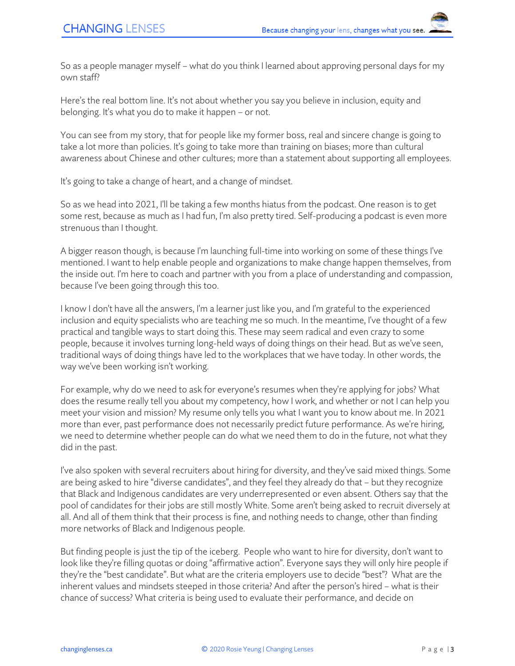So as a people manager myself – what do you think I learned about approving personal days for my own staff?

Here's the real bottom line. It's not about whether you say you believe in inclusion, equity and belonging. It's what you do to make it happen – or not.

You can see from my story, that for people like my former boss, real and sincere change is going to take a lot more than policies. It's going to take more than training on biases; more than cultural awareness about Chinese and other cultures; more than a statement about supporting all employees.

It's going to take a change of heart, and a change of mindset.

So as we head into 2021, I'll be taking a few months hiatus from the podcast. One reason is to get some rest, because as much as I had fun, I'm also pretty tired. Self-producing a podcast is even more strenuous than I thought.

A bigger reason though, is because I'm launching full-time into working on some of these things I've mentioned. I want to help enable people and organizations to make change happen themselves, from the inside out. I'm here to coach and partner with you from a place of understanding and compassion, because I've been going through this too.

I know I don't have all the answers, I'm a learner just like you, and I'm grateful to the experienced inclusion and equity specialists who are teaching me so much. In the meantime, I've thought of a few practical and tangible ways to start doing this. These may seem radical and even crazy to some people, because it involves turning long-held ways of doing things on their head. But as we've seen, traditional ways of doing things have led to the workplaces that we have today. In other words, the way we've been working isn't working.

For example, why do we need to ask for everyone's resumes when they're applying for jobs? What does the resume really tell you about my competency, how I work, and whether or not I can help you meet your vision and mission? My resume only tells you what I want you to know about me. In 2021 more than ever, past performance does not necessarily predict future performance. As we're hiring, we need to determine whether people can do what we need them to do in the future, not what they did in the past.

I've also spoken with several recruiters about hiring for diversity, and they've said mixed things. Some are being asked to hire "diverse candidates", and they feel they already do that – but they recognize that Black and Indigenous candidates are very underrepresented or even absent. Others say that the pool of candidates for their jobs are still mostly White. Some aren't being asked to recruit diversely at all. And all of them think that their process is fine, and nothing needs to change, other than finding more networks of Black and Indigenous people.

But finding people is just the tip of the iceberg. People who want to hire for diversity, don't want to look like they're filling quotas or doing "affirmative action". Everyone says they will only hire people if they're the "best candidate". But what are the criteria employers use to decide "best"? What are the inherent values and mindsets steeped in those criteria? And after the person's hired – what is their chance of success? What criteria is being used to evaluate their performance, and decide on